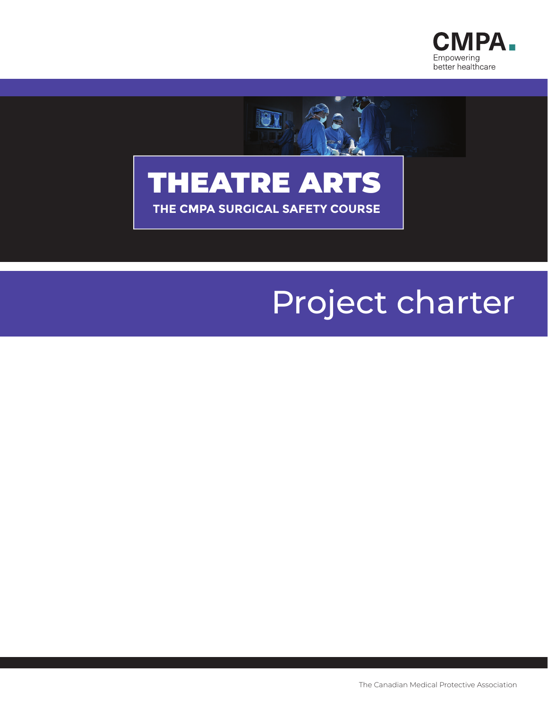





# Project charter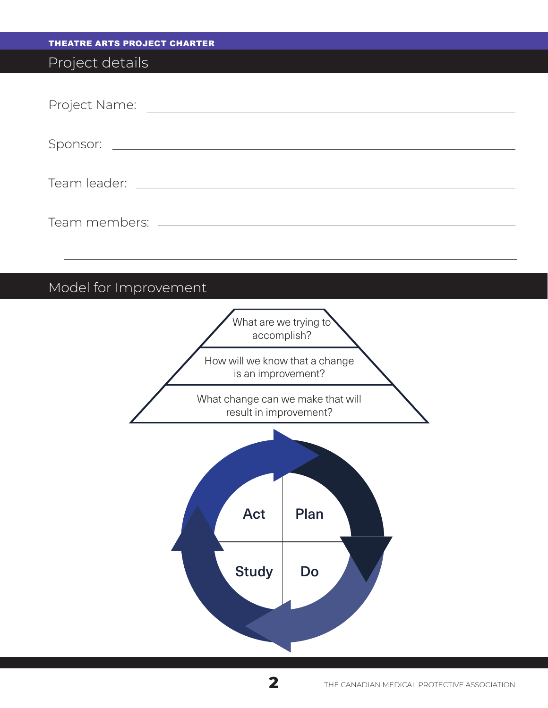| <b>THEATRE ARTS PROJECT CHARTER</b>                         |
|-------------------------------------------------------------|
| Project details                                             |
|                                                             |
|                                                             |
|                                                             |
|                                                             |
|                                                             |
| Model for Improvement                                       |
| What are we trying to<br>accomplish?                        |
| How will we know that a change<br>is an improvement?        |
| What change can we make that will<br>result in improvement? |
| Act<br>Plan<br><b>Study</b><br>Do                           |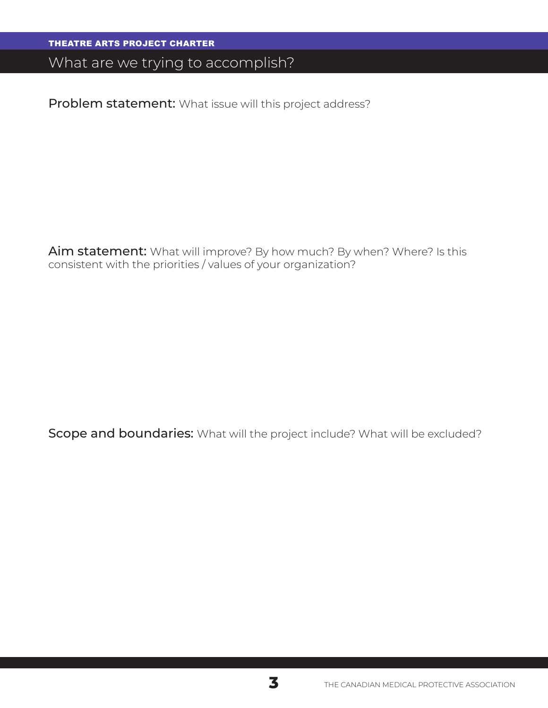#### What are we trying to accomplish?

Problem statement: What issue will this project address?

Aim statement: What will improve? By how much? By when? Where? Is this consistent with the priorities / values of your organization?

Scope and boundaries: What will the project include? What will be excluded?

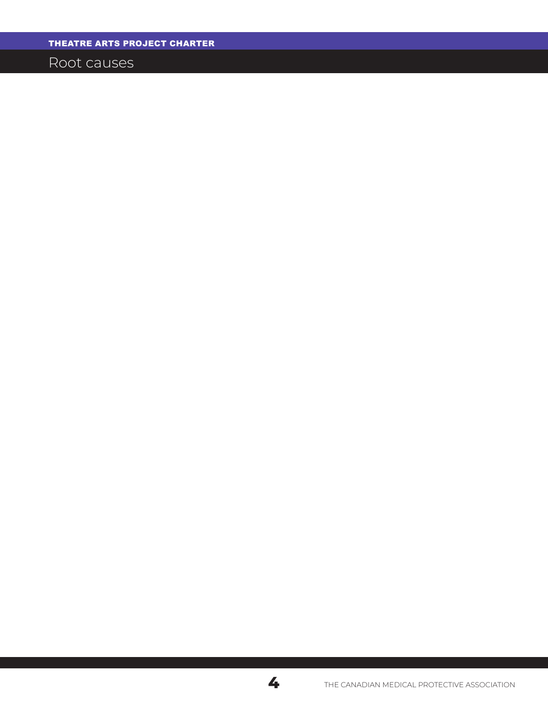Root causes

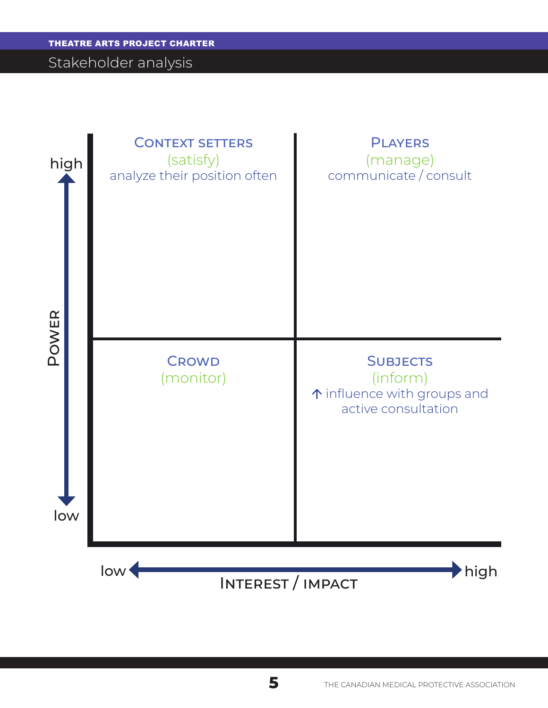#### Stakeholder analysis

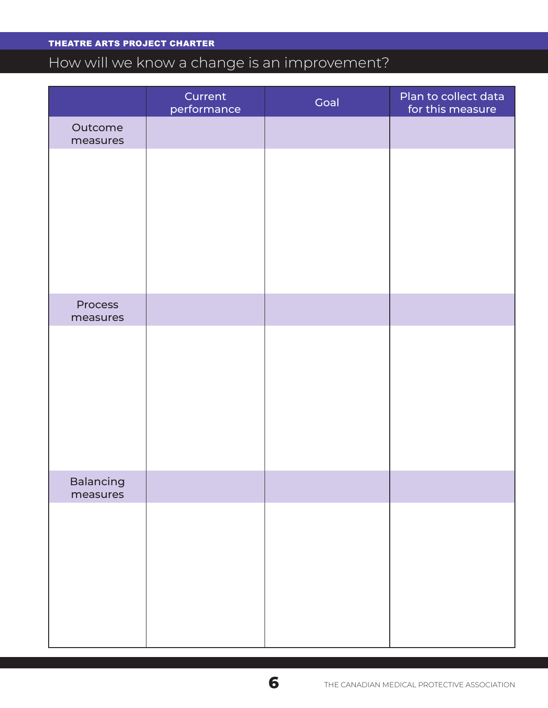## How will we know a change is an improvement?

|                              | Current<br>performance | Goal | Plan to collect data<br>for this measure |
|------------------------------|------------------------|------|------------------------------------------|
| Outcome<br>measures          |                        |      |                                          |
|                              |                        |      |                                          |
| Process<br>measures          |                        |      |                                          |
|                              |                        |      |                                          |
| <b>Balancing</b><br>measures |                        |      |                                          |
|                              |                        |      |                                          |

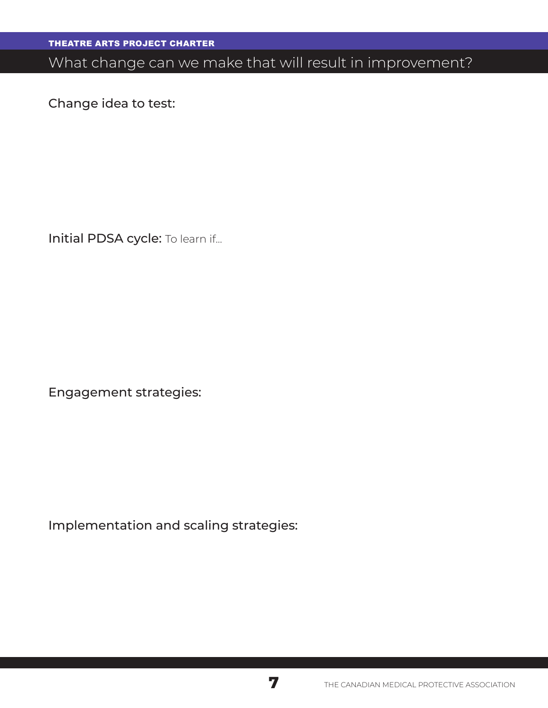# What change can we make that will result in improvement?

Change idea to test:

Initial PDSA cycle: To learn if...

Engagement strategies:

Implementation and scaling strategies:

**7**